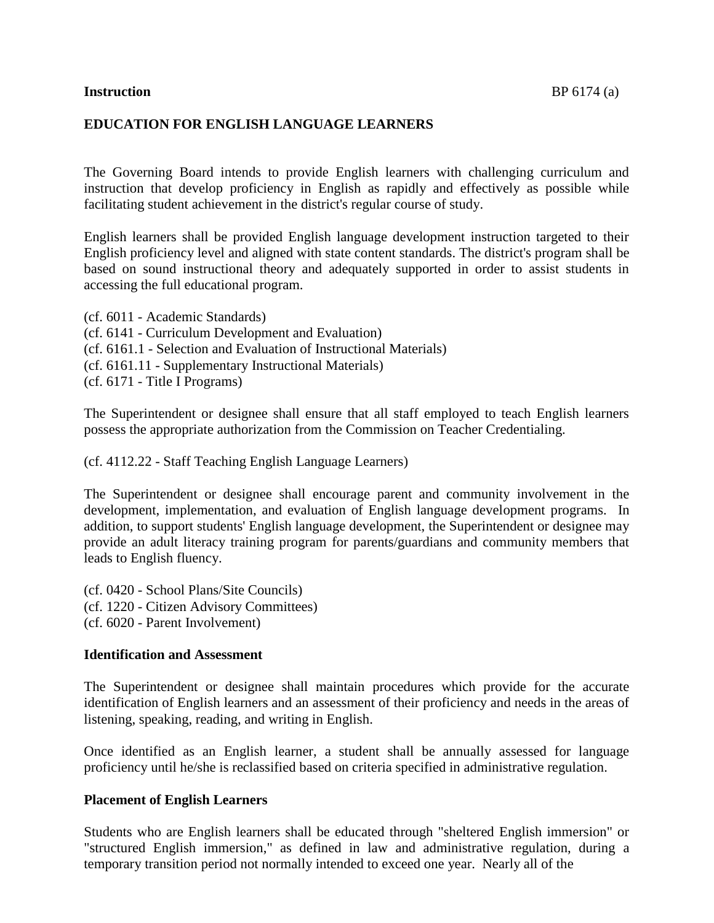#### **EDUCATION FOR ENGLISH LANGUAGE LEARNERS**

The Governing Board intends to provide English learners with challenging curriculum and instruction that develop proficiency in English as rapidly and effectively as possible while facilitating student achievement in the district's regular course of study.

English learners shall be provided English language development instruction targeted to their English proficiency level and aligned with state content standards. The district's program shall be based on sound instructional theory and adequately supported in order to assist students in accessing the full educational program.

(cf. 6011 - Academic Standards) (cf. 6141 - Curriculum Development and Evaluation) (cf. 6161.1 - Selection and Evaluation of Instructional Materials) (cf. 6161.11 - Supplementary Instructional Materials) (cf. 6171 - Title I Programs)

The Superintendent or designee shall ensure that all staff employed to teach English learners possess the appropriate authorization from the Commission on Teacher Credentialing.

(cf. 4112.22 - Staff Teaching English Language Learners)

The Superintendent or designee shall encourage parent and community involvement in the development, implementation, and evaluation of English language development programs. In addition, to support students' English language development, the Superintendent or designee may provide an adult literacy training program for parents/guardians and community members that leads to English fluency.

(cf. 0420 - School Plans/Site Councils) (cf. 1220 - Citizen Advisory Committees) (cf. 6020 - Parent Involvement)

#### **Identification and Assessment**

The Superintendent or designee shall maintain procedures which provide for the accurate identification of English learners and an assessment of their proficiency and needs in the areas of listening, speaking, reading, and writing in English.

Once identified as an English learner, a student shall be annually assessed for language proficiency until he/she is reclassified based on criteria specified in administrative regulation.

#### **Placement of English Learners**

Students who are English learners shall be educated through "sheltered English immersion" or "structured English immersion," as defined in law and administrative regulation, during a temporary transition period not normally intended to exceed one year. Nearly all of the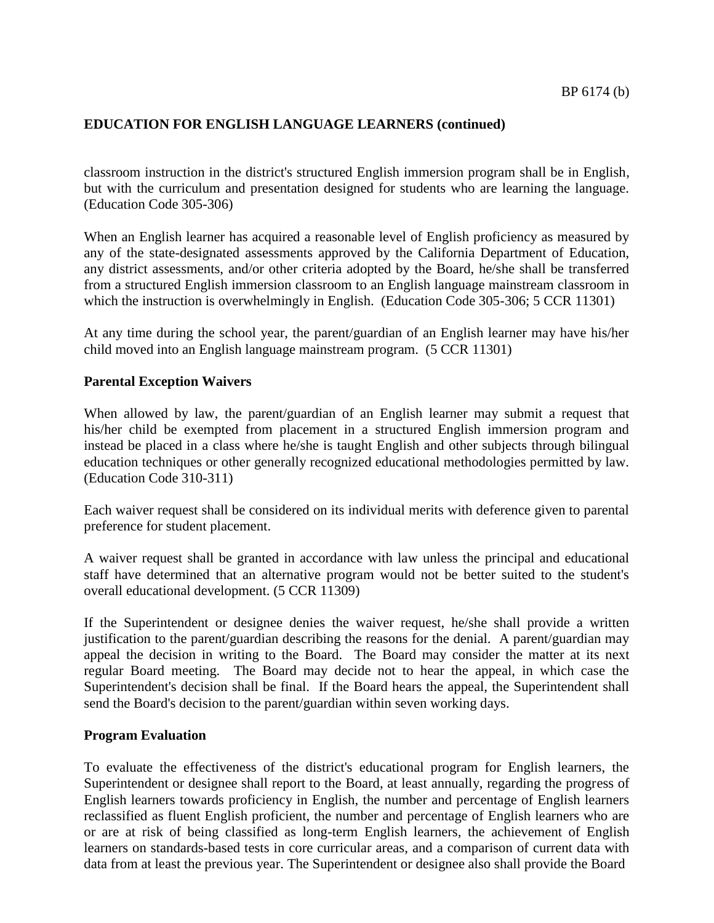classroom instruction in the district's structured English immersion program shall be in English, but with the curriculum and presentation designed for students who are learning the language. (Education Code 305-306)

When an English learner has acquired a reasonable level of English proficiency as measured by any of the state-designated assessments approved by the California Department of Education, any district assessments, and/or other criteria adopted by the Board, he/she shall be transferred from a structured English immersion classroom to an English language mainstream classroom in which the instruction is overwhelmingly in English. (Education Code 305-306; 5 CCR 11301)

At any time during the school year, the parent/guardian of an English learner may have his/her child moved into an English language mainstream program. (5 CCR 11301)

#### **Parental Exception Waivers**

When allowed by law, the parent/guardian of an English learner may submit a request that his/her child be exempted from placement in a structured English immersion program and instead be placed in a class where he/she is taught English and other subjects through bilingual education techniques or other generally recognized educational methodologies permitted by law. (Education Code 310-311)

Each waiver request shall be considered on its individual merits with deference given to parental preference for student placement.

A waiver request shall be granted in accordance with law unless the principal and educational staff have determined that an alternative program would not be better suited to the student's overall educational development. (5 CCR 11309)

If the Superintendent or designee denies the waiver request, he/she shall provide a written justification to the parent/guardian describing the reasons for the denial. A parent/guardian may appeal the decision in writing to the Board. The Board may consider the matter at its next regular Board meeting. The Board may decide not to hear the appeal, in which case the Superintendent's decision shall be final. If the Board hears the appeal, the Superintendent shall send the Board's decision to the parent/guardian within seven working days.

#### **Program Evaluation**

To evaluate the effectiveness of the district's educational program for English learners, the Superintendent or designee shall report to the Board, at least annually, regarding the progress of English learners towards proficiency in English, the number and percentage of English learners reclassified as fluent English proficient, the number and percentage of English learners who are or are at risk of being classified as long-term English learners, the achievement of English learners on standards-based tests in core curricular areas, and a comparison of current data with data from at least the previous year. The Superintendent or designee also shall provide the Board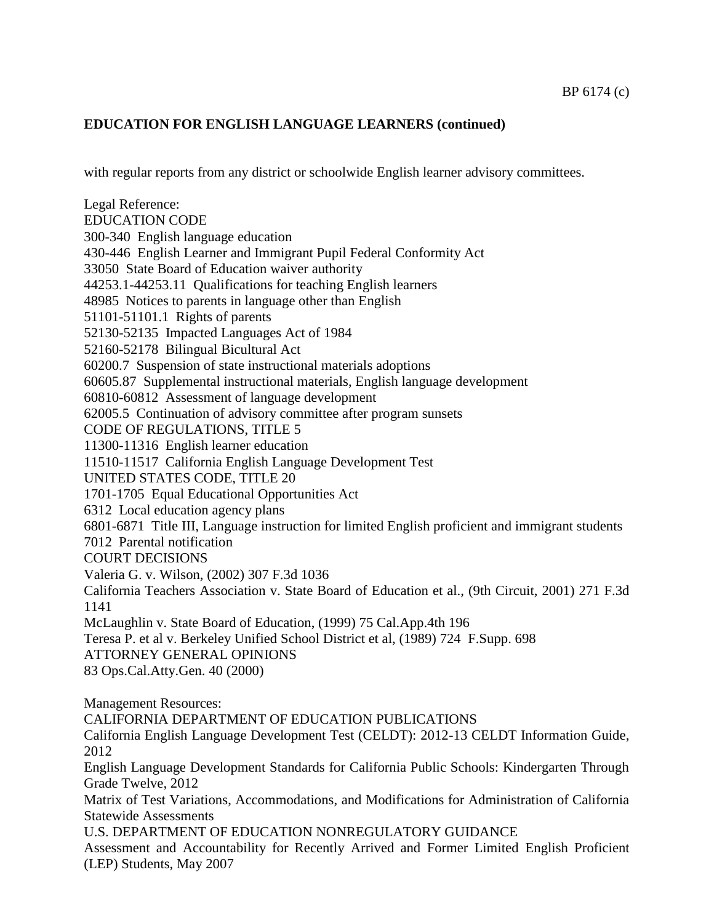with regular reports from any district or schoolwide English learner advisory committees.

Legal Reference: EDUCATION CODE 300-340 English language education 430-446 English Learner and Immigrant Pupil Federal Conformity Act 33050 State Board of Education waiver authority 44253.1-44253.11 Qualifications for teaching English learners 48985 Notices to parents in language other than English 51101-51101.1 Rights of parents 52130-52135 Impacted Languages Act of 1984 52160-52178 Bilingual Bicultural Act 60200.7 Suspension of state instructional materials adoptions 60605.87 Supplemental instructional materials, English language development 60810-60812 Assessment of language development 62005.5 Continuation of advisory committee after program sunsets CODE OF REGULATIONS, TITLE 5 11300-11316 English learner education 11510-11517 California English Language Development Test UNITED STATES CODE, TITLE 20 1701-1705 Equal Educational Opportunities Act 6312 Local education agency plans 6801-6871 Title III, Language instruction for limited English proficient and immigrant students 7012 Parental notification COURT DECISIONS Valeria G. v. Wilson, (2002) 307 F.3d 1036 California Teachers Association v. State Board of Education et al., (9th Circuit, 2001) 271 F.3d 1141 McLaughlin v. State Board of Education, (1999) 75 Cal.App.4th 196 Teresa P. et al v. Berkeley Unified School District et al, (1989) 724 F.Supp. 698 ATTORNEY GENERAL OPINIONS 83 Ops.Cal.Atty.Gen. 40 (2000) Management Resources: CALIFORNIA DEPARTMENT OF EDUCATION PUBLICATIONS California English Language Development Test (CELDT): 2012-13 CELDT Information Guide, 2012 English Language Development Standards for California Public Schools: Kindergarten Through Grade Twelve, 2012 Matrix of Test Variations, Accommodations, and Modifications for Administration of California Statewide Assessments U.S. DEPARTMENT OF EDUCATION NONREGULATORY GUIDANCE Assessment and Accountability for Recently Arrived and Former Limited English Proficient (LEP) Students, May 2007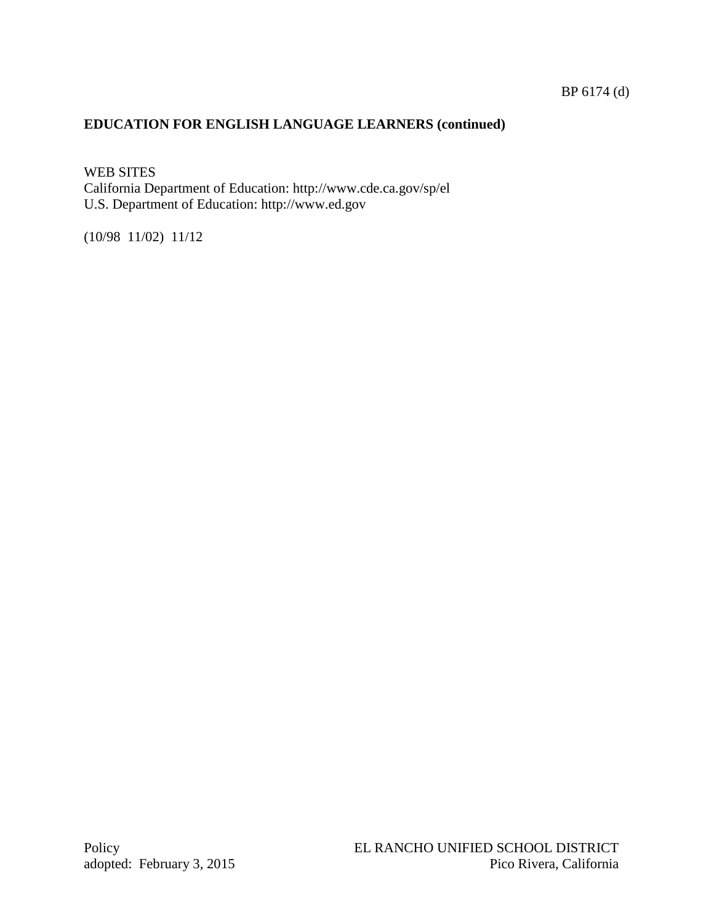## BP 6174 (d)

# **EDUCATION FOR ENGLISH LANGUAGE LEARNERS (continued)**

WEB SITES California Department of Education: http://www.cde.ca.gov/sp/el U.S. Department of Education: http://www.ed.gov

(10/98 11/02) 11/12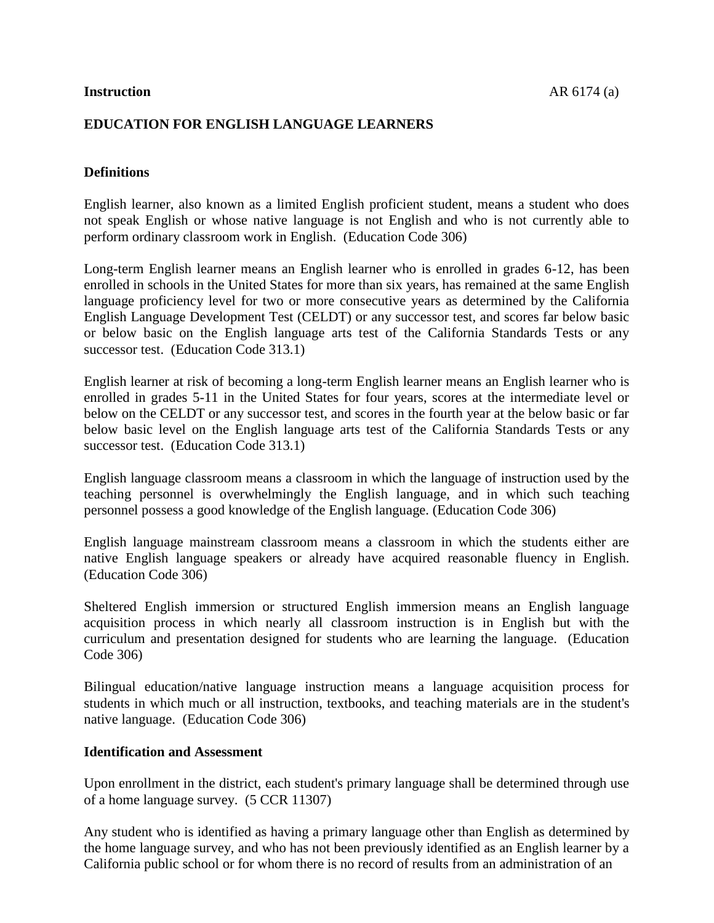## **EDUCATION FOR ENGLISH LANGUAGE LEARNERS**

## **Definitions**

English learner, also known as a limited English proficient student, means a student who does not speak English or whose native language is not English and who is not currently able to perform ordinary classroom work in English. (Education Code 306)

Long-term English learner means an English learner who is enrolled in grades 6-12, has been enrolled in schools in the United States for more than six years, has remained at the same English language proficiency level for two or more consecutive years as determined by the California English Language Development Test (CELDT) or any successor test, and scores far below basic or below basic on the English language arts test of the California Standards Tests or any successor test. (Education Code 313.1)

English learner at risk of becoming a long-term English learner means an English learner who is enrolled in grades 5-11 in the United States for four years, scores at the intermediate level or below on the CELDT or any successor test, and scores in the fourth year at the below basic or far below basic level on the English language arts test of the California Standards Tests or any successor test. (Education Code 313.1)

English language classroom means a classroom in which the language of instruction used by the teaching personnel is overwhelmingly the English language, and in which such teaching personnel possess a good knowledge of the English language. (Education Code 306)

English language mainstream classroom means a classroom in which the students either are native English language speakers or already have acquired reasonable fluency in English. (Education Code 306)

Sheltered English immersion or structured English immersion means an English language acquisition process in which nearly all classroom instruction is in English but with the curriculum and presentation designed for students who are learning the language. (Education Code 306)

Bilingual education/native language instruction means a language acquisition process for students in which much or all instruction, textbooks, and teaching materials are in the student's native language. (Education Code 306)

### **Identification and Assessment**

Upon enrollment in the district, each student's primary language shall be determined through use of a home language survey. (5 CCR 11307)

Any student who is identified as having a primary language other than English as determined by the home language survey, and who has not been previously identified as an English learner by a California public school or for whom there is no record of results from an administration of an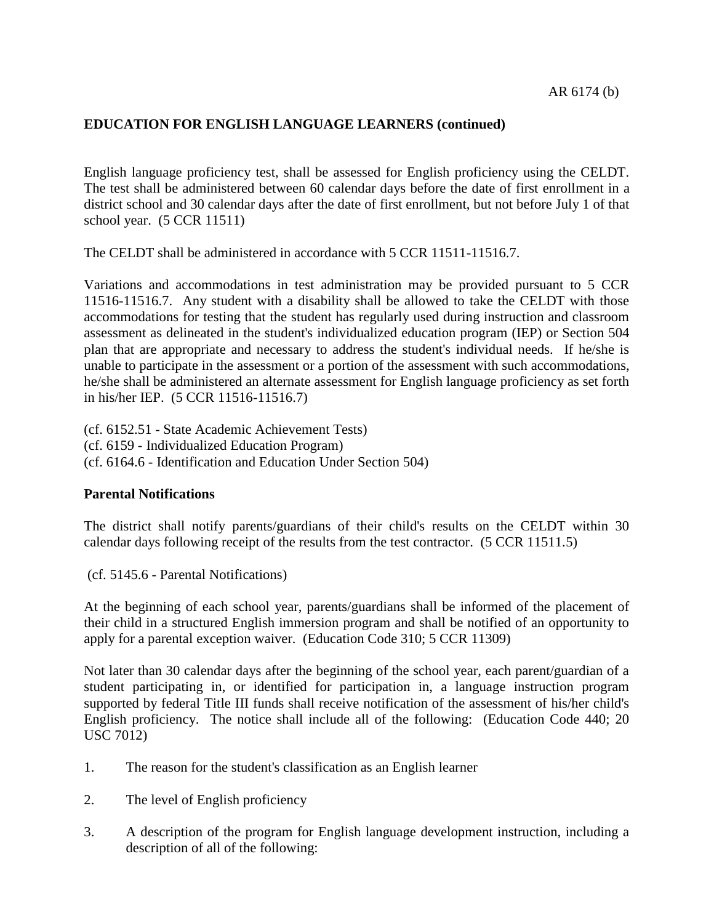English language proficiency test, shall be assessed for English proficiency using the CELDT. The test shall be administered between 60 calendar days before the date of first enrollment in a district school and 30 calendar days after the date of first enrollment, but not before July 1 of that school year. (5 CCR 11511)

The CELDT shall be administered in accordance with 5 CCR 11511-11516.7.

Variations and accommodations in test administration may be provided pursuant to 5 CCR 11516-11516.7. Any student with a disability shall be allowed to take the CELDT with those accommodations for testing that the student has regularly used during instruction and classroom assessment as delineated in the student's individualized education program (IEP) or Section 504 plan that are appropriate and necessary to address the student's individual needs. If he/she is unable to participate in the assessment or a portion of the assessment with such accommodations, he/she shall be administered an alternate assessment for English language proficiency as set forth in his/her IEP. (5 CCR 11516-11516.7)

(cf. 6152.51 - State Academic Achievement Tests) (cf. 6159 - Individualized Education Program) (cf. 6164.6 - Identification and Education Under Section 504)

### **Parental Notifications**

The district shall notify parents/guardians of their child's results on the CELDT within 30 calendar days following receipt of the results from the test contractor. (5 CCR 11511.5)

(cf. 5145.6 - Parental Notifications)

At the beginning of each school year, parents/guardians shall be informed of the placement of their child in a structured English immersion program and shall be notified of an opportunity to apply for a parental exception waiver. (Education Code 310; 5 CCR 11309)

Not later than 30 calendar days after the beginning of the school year, each parent/guardian of a student participating in, or identified for participation in, a language instruction program supported by federal Title III funds shall receive notification of the assessment of his/her child's English proficiency. The notice shall include all of the following: (Education Code 440; 20 USC 7012)

- 1. The reason for the student's classification as an English learner
- 2. The level of English proficiency
- 3. A description of the program for English language development instruction, including a description of all of the following: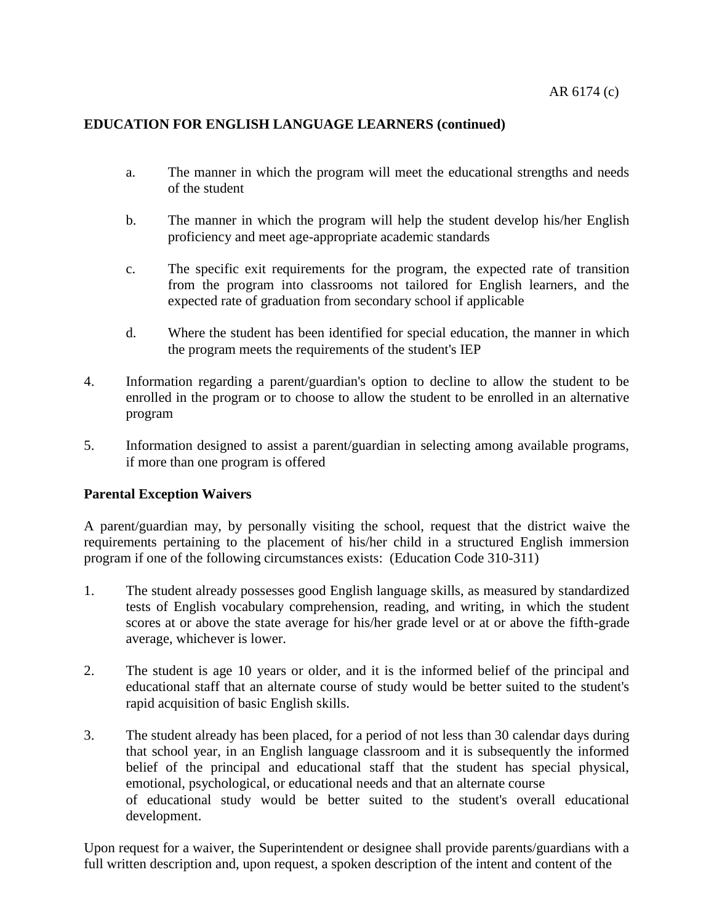- a. The manner in which the program will meet the educational strengths and needs of the student
- b. The manner in which the program will help the student develop his/her English proficiency and meet age-appropriate academic standards
- c. The specific exit requirements for the program, the expected rate of transition from the program into classrooms not tailored for English learners, and the expected rate of graduation from secondary school if applicable
- d. Where the student has been identified for special education, the manner in which the program meets the requirements of the student's IEP
- 4. Information regarding a parent/guardian's option to decline to allow the student to be enrolled in the program or to choose to allow the student to be enrolled in an alternative program
- 5. Information designed to assist a parent/guardian in selecting among available programs, if more than one program is offered

## **Parental Exception Waivers**

A parent/guardian may, by personally visiting the school, request that the district waive the requirements pertaining to the placement of his/her child in a structured English immersion program if one of the following circumstances exists: (Education Code 310-311)

- 1. The student already possesses good English language skills, as measured by standardized tests of English vocabulary comprehension, reading, and writing, in which the student scores at or above the state average for his/her grade level or at or above the fifth-grade average, whichever is lower.
- 2. The student is age 10 years or older, and it is the informed belief of the principal and educational staff that an alternate course of study would be better suited to the student's rapid acquisition of basic English skills.
- 3. The student already has been placed, for a period of not less than 30 calendar days during that school year, in an English language classroom and it is subsequently the informed belief of the principal and educational staff that the student has special physical, emotional, psychological, or educational needs and that an alternate course of educational study would be better suited to the student's overall educational development.

Upon request for a waiver, the Superintendent or designee shall provide parents/guardians with a full written description and, upon request, a spoken description of the intent and content of the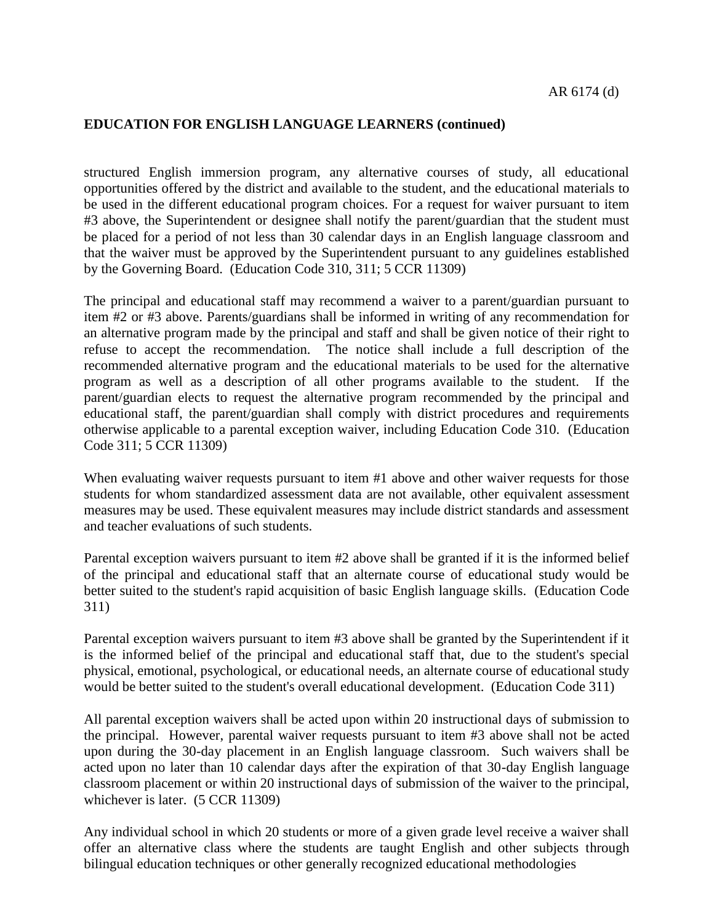structured English immersion program, any alternative courses of study, all educational opportunities offered by the district and available to the student, and the educational materials to be used in the different educational program choices. For a request for waiver pursuant to item #3 above, the Superintendent or designee shall notify the parent/guardian that the student must be placed for a period of not less than 30 calendar days in an English language classroom and that the waiver must be approved by the Superintendent pursuant to any guidelines established by the Governing Board. (Education Code 310, 311; 5 CCR 11309)

The principal and educational staff may recommend a waiver to a parent/guardian pursuant to item #2 or #3 above. Parents/guardians shall be informed in writing of any recommendation for an alternative program made by the principal and staff and shall be given notice of their right to refuse to accept the recommendation. The notice shall include a full description of the recommended alternative program and the educational materials to be used for the alternative program as well as a description of all other programs available to the student. If the parent/guardian elects to request the alternative program recommended by the principal and educational staff, the parent/guardian shall comply with district procedures and requirements otherwise applicable to a parental exception waiver, including Education Code 310. (Education Code 311; 5 CCR 11309)

When evaluating waiver requests pursuant to item #1 above and other waiver requests for those students for whom standardized assessment data are not available, other equivalent assessment measures may be used. These equivalent measures may include district standards and assessment and teacher evaluations of such students.

Parental exception waivers pursuant to item #2 above shall be granted if it is the informed belief of the principal and educational staff that an alternate course of educational study would be better suited to the student's rapid acquisition of basic English language skills. (Education Code 311)

Parental exception waivers pursuant to item #3 above shall be granted by the Superintendent if it is the informed belief of the principal and educational staff that, due to the student's special physical, emotional, psychological, or educational needs, an alternate course of educational study would be better suited to the student's overall educational development. (Education Code 311)

All parental exception waivers shall be acted upon within 20 instructional days of submission to the principal. However, parental waiver requests pursuant to item #3 above shall not be acted upon during the 30-day placement in an English language classroom. Such waivers shall be acted upon no later than 10 calendar days after the expiration of that 30-day English language classroom placement or within 20 instructional days of submission of the waiver to the principal, whichever is later. (5 CCR 11309)

Any individual school in which 20 students or more of a given grade level receive a waiver shall offer an alternative class where the students are taught English and other subjects through bilingual education techniques or other generally recognized educational methodologies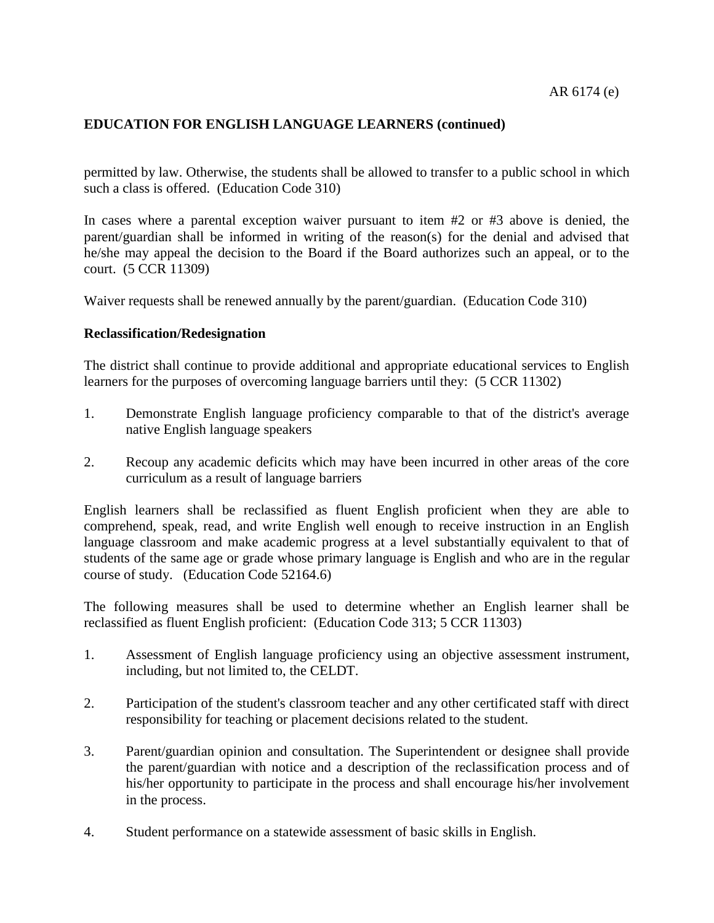permitted by law. Otherwise, the students shall be allowed to transfer to a public school in which such a class is offered. (Education Code 310)

In cases where a parental exception waiver pursuant to item #2 or #3 above is denied, the parent/guardian shall be informed in writing of the reason(s) for the denial and advised that he/she may appeal the decision to the Board if the Board authorizes such an appeal, or to the court. (5 CCR 11309)

Waiver requests shall be renewed annually by the parent/guardian. (Education Code 310)

#### **Reclassification/Redesignation**

The district shall continue to provide additional and appropriate educational services to English learners for the purposes of overcoming language barriers until they: (5 CCR 11302)

- 1. Demonstrate English language proficiency comparable to that of the district's average native English language speakers
- 2. Recoup any academic deficits which may have been incurred in other areas of the core curriculum as a result of language barriers

English learners shall be reclassified as fluent English proficient when they are able to comprehend, speak, read, and write English well enough to receive instruction in an English language classroom and make academic progress at a level substantially equivalent to that of students of the same age or grade whose primary language is English and who are in the regular course of study. (Education Code 52164.6)

The following measures shall be used to determine whether an English learner shall be reclassified as fluent English proficient: (Education Code 313; 5 CCR 11303)

- 1. Assessment of English language proficiency using an objective assessment instrument, including, but not limited to, the CELDT.
- 2. Participation of the student's classroom teacher and any other certificated staff with direct responsibility for teaching or placement decisions related to the student.
- 3. Parent/guardian opinion and consultation. The Superintendent or designee shall provide the parent/guardian with notice and a description of the reclassification process and of his/her opportunity to participate in the process and shall encourage his/her involvement in the process.
- 4. Student performance on a statewide assessment of basic skills in English.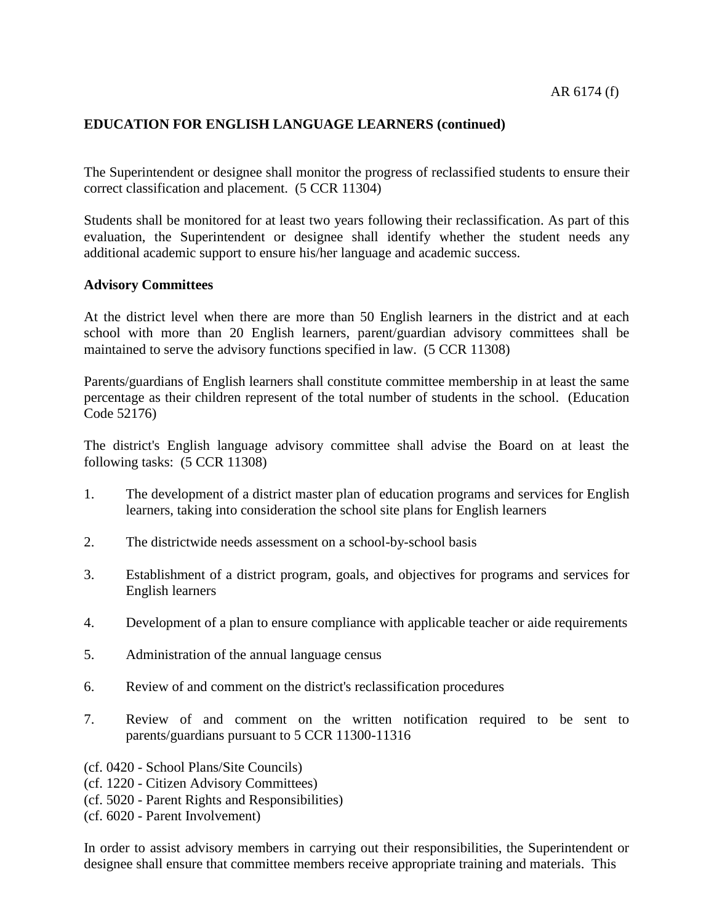The Superintendent or designee shall monitor the progress of reclassified students to ensure their correct classification and placement. (5 CCR 11304)

Students shall be monitored for at least two years following their reclassification. As part of this evaluation, the Superintendent or designee shall identify whether the student needs any additional academic support to ensure his/her language and academic success.

#### **Advisory Committees**

At the district level when there are more than 50 English learners in the district and at each school with more than 20 English learners, parent/guardian advisory committees shall be maintained to serve the advisory functions specified in law. (5 CCR 11308)

Parents/guardians of English learners shall constitute committee membership in at least the same percentage as their children represent of the total number of students in the school. (Education Code 52176)

The district's English language advisory committee shall advise the Board on at least the following tasks: (5 CCR 11308)

- 1. The development of a district master plan of education programs and services for English learners, taking into consideration the school site plans for English learners
- 2. The districtwide needs assessment on a school-by-school basis
- 3. Establishment of a district program, goals, and objectives for programs and services for English learners
- 4. Development of a plan to ensure compliance with applicable teacher or aide requirements
- 5. Administration of the annual language census
- 6. Review of and comment on the district's reclassification procedures
- 7. Review of and comment on the written notification required to be sent to parents/guardians pursuant to 5 CCR 11300-11316
- (cf. 0420 School Plans/Site Councils)
- (cf. 1220 Citizen Advisory Committees)
- (cf. 5020 Parent Rights and Responsibilities)
- (cf. 6020 Parent Involvement)

In order to assist advisory members in carrying out their responsibilities, the Superintendent or designee shall ensure that committee members receive appropriate training and materials. This